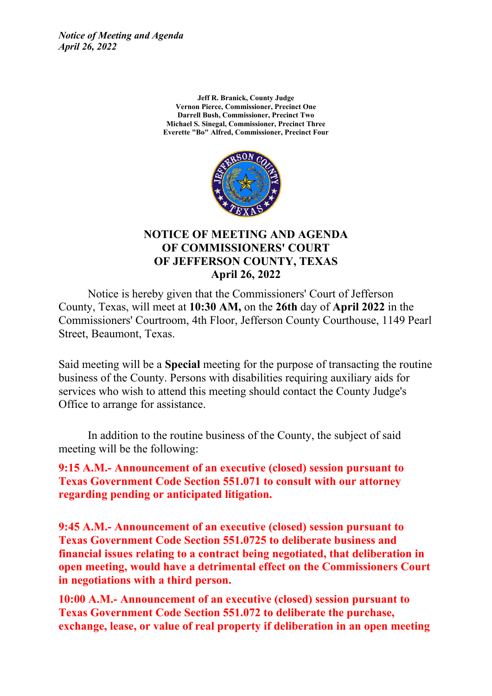*Notice of Meeting and Agenda April 26, 2022*

> **Jeff R. Branick, County Judge Vernon Pierce, Commissioner, Precinct One Darrell Bush, Commissioner, Precinct Two Michael S. Sinegal, Commissioner, Precinct Three Everette "Bo" Alfred, Commissioner, Precinct Four**



#### **NOTICE OF MEETING AND AGENDA OF COMMISSIONERS' COURT OF JEFFERSON COUNTY, TEXAS April 26, 2022**

Notice is hereby given that the Commissioners' Court of Jefferson County, Texas, will meet at **10:30 AM,** on the **26th** day of **April 2022** in the Commissioners' Courtroom, 4th Floor, Jefferson County Courthouse, 1149 Pearl Street, Beaumont, Texas.

Said meeting will be a **Special** meeting for the purpose of transacting the routine business of the County. Persons with disabilities requiring auxiliary aids for services who wish to attend this meeting should contact the County Judge's Office to arrange for assistance.

In addition to the routine business of the County, the subject of said meeting will be the following:

**9:15 A.M.- Announcement of an executive (closed) session pursuant to Texas Government Code Section 551.071 to consult with our attorney regarding pending or anticipated litigation.**

**9:45 A.M.- Announcement of an executive (closed) session pursuant to Texas Government Code Section 551.0725 to deliberate business and financial issues relating to a contract being negotiated, that deliberation in open meeting, would have a detrimental effect on the Commissioners Court in negotiations with a third person.**

**10:00 A.M.- Announcement of an executive (closed) session pursuant to Texas Government Code Section 551.072 to deliberate the purchase, exchange, lease, or value of real property if deliberation in an open meeting**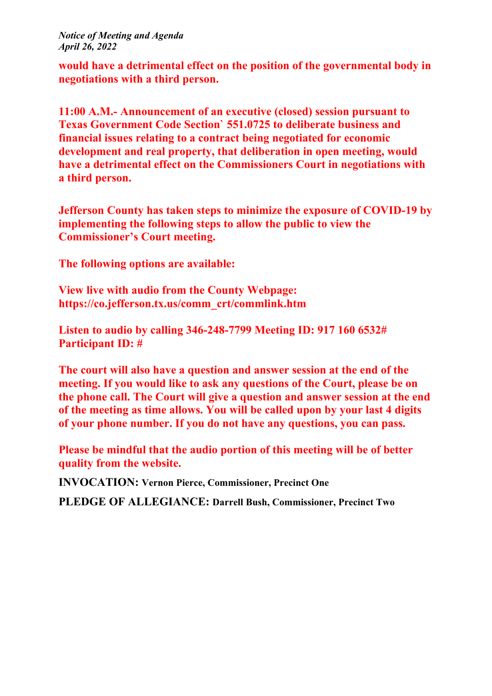*Notice of Meeting and Agenda April 26, 2022*

**would have a detrimental effect on the position of the governmental body in negotiations with a third person.**

**11:00 A.M.- Announcement of an executive (closed) session pursuant to Texas Government Code Section` 551.0725 to deliberate business and financial issues relating to a contract being negotiated for economic development and real property, that deliberation in open meeting, would have a detrimental effect on the Commissioners Court in negotiations with a third person.**

**Jefferson County has taken steps to minimize the exposure of COVID-19 by implementing the following steps to allow the public to view the Commissioner's Court meeting.**

**The following options are available:**

**View live with audio from the County Webpage: https://co.jefferson.tx.us/comm\_crt/commlink.htm**

**Listen to audio by calling 346-248-7799 Meeting ID: 917 160 6532# Participant ID: #**

**The court will also have a question and answer session at the end of the meeting. If you would like to ask any questions of the Court, please be on the phone call. The Court will give a question and answer session at the end of the meeting as time allows. You will be called upon by your last 4 digits of your phone number. If you do not have any questions, you can pass.**

**Please be mindful that the audio portion of this meeting will be of better quality from the website.**

**INVOCATION: Vernon Pierce, Commissioner, Precinct One**

**PLEDGE OF ALLEGIANCE: Darrell Bush, Commissioner, Precinct Two**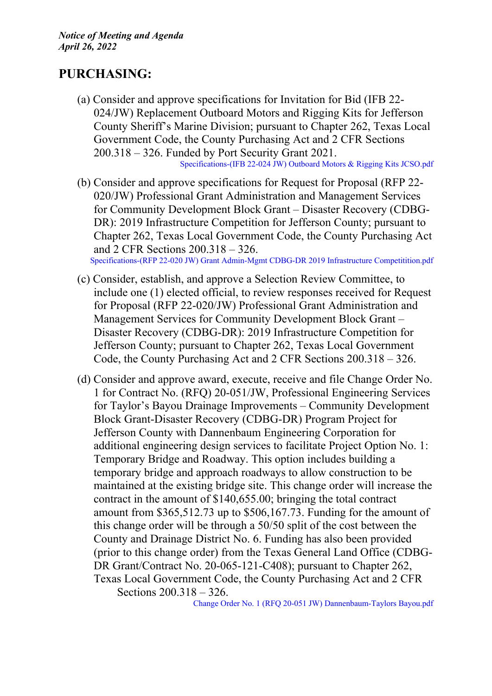## **PURCHASING:**

(a) Consider and approve specifications for Invitation for Bid (IFB 22- 024/JW) Replacement Outboard Motors and Rigging Kits for Jefferson County Sheriff's Marine Division; pursuant to Chapter 262, Texas Local Government Code, the County Purchasing Act and 2 CFR Sections 200.318 – 326. Funded by Port Security Grant 2021.

[Specifications-\(IFB](http://co.jefferson.tx.us/agenda/agendas_pl/20220426_689/Attachments/Specifications-%28IFB%2022-024%20JW%29%20Outboard%20Motors%20%26%20Rigging%20Kits%20JCSO.pdf) 22-024 JW) Outboard Motors & Rigging Kits JCSO.pdf

- (b) Consider and approve specifications for Request for Proposal (RFP 22- 020/JW) Professional Grant Administration and Management Services for Community Development Block Grant – Disaster Recovery (CDBG-DR): 2019 Infrastructure Competition for Jefferson County; pursuant to Chapter 262, Texas Local Government Code, the County Purchasing Act and 2 CFR Sections 200.318 – 326. [Specifications-\(RFP](http://co.jefferson.tx.us/agenda/agendas_pl/20220426_689/Attachments/Specifications-%28RFP%2022-020%20JW%29%20Grant%20Admin-Mgmt%20CDBG-DR%202019%20Infrastructure%20Competitition.pdf) 22-020 JW) Grant Admin-Mgmt CDBG-DR 2019 Infrastructure Competitition.pdf
- (c) Consider, establish, and approve a Selection Review Committee, to include one (1) elected official, to review responses received for Request for Proposal (RFP 22-020/JW) Professional Grant Administration and Management Services for Community Development Block Grant – Disaster Recovery (CDBG-DR): 2019 Infrastructure Competition for Jefferson County; pursuant to Chapter 262, Texas Local Government Code, the County Purchasing Act and 2 CFR Sections 200.318 – 326.
- (d) Consider and approve award, execute, receive and file Change Order No. 1 for Contract No. (RFQ) 20-051/JW, Professional Engineering Services for Taylor's Bayou Drainage Improvements – Community Development Block Grant-Disaster Recovery (CDBG-DR) Program Project for Jefferson County with Dannenbaum Engineering Corporation for additional engineering design services to facilitate Project Option No. 1: Temporary Bridge and Roadway. This option includes building a temporary bridge and approach roadways to allow construction to be maintained at the existing bridge site. This change order will increase the contract in the amount of \$140,655.00; bringing the total contract amount from \$365,512.73 up to \$506,167.73. Funding for the amount of this change order will be through a 50/50 split of the cost between the County and Drainage District No. 6. Funding has also been provided (prior to this change order) from the Texas General Land Office (CDBG-DR Grant/Contract No. 20-065-121-C408); pursuant to Chapter 262, Texas Local Government Code, the County Purchasing Act and 2 CFR Sections 200.318 – 326.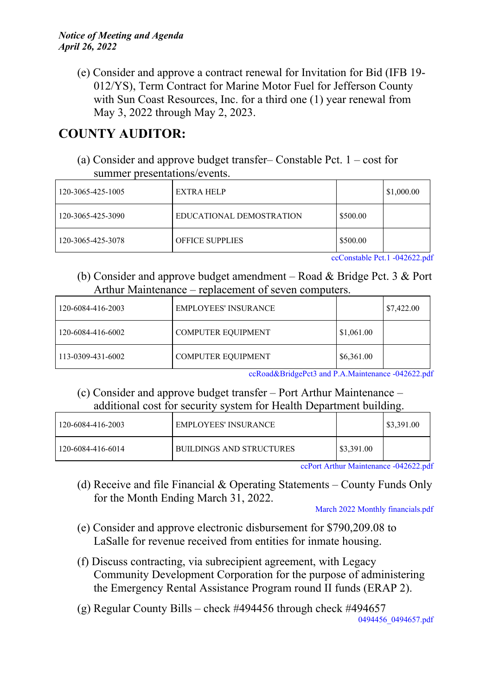#### *Notice of Meeting and Agenda April 26, 2022*

(e) Consider and approve a contract renewal for Invitation for Bid (IFB 19- 012/YS), Term Contract for Marine Motor Fuel for Jefferson County with Sun Coast Resources, Inc. for a third one (1) year renewal from May 3, 2022 through May 2, 2023.

# **COUNTY AUDITOR:**

(a) Consider and approve budget transfer– Constable Pct. 1 – cost for summer presentations/events.

| 120-3065-425-1005 | EXTRA HELP               |          | \$1,000.00 |
|-------------------|--------------------------|----------|------------|
| 120-3065-425-3090 | EDUCATIONAL DEMOSTRATION | \$500.00 |            |
| 120-3065-425-3078 | <b>OFFICE SUPPLIES</b>   | \$500.00 |            |

[ccConstable](http://co.jefferson.tx.us/agenda/agendas_pl/20220426_689/Attachments/ccConstable%20Pct.1%20-042622.pdf) Pct.1 -042622.pdf

(b) Consider and approve budget amendment – Road & Bridge Pct. 3 & Port Arthur Maintenance – replacement of seven computers.

| 120-6084-416-2003 | <b>EMPLOYEES' INSURANCE</b> |            | \$7,422.00 |
|-------------------|-----------------------------|------------|------------|
| 120-6084-416-6002 | <b>COMPUTER EQUIPMENT</b>   | \$1,061.00 |            |
| 113-0309-431-6002 | <b>COMPUTER EQUIPMENT</b>   | \$6,361.00 |            |

[ccRoad&BridgePct3](http://co.jefferson.tx.us/agenda/agendas_pl/20220426_689/Attachments/ccRoad%26BridgePct3%20and%20P.A.Maintenance%20-042622.pdf) and P.A.Maintenance -042622.pdf

(c) Consider and approve budget transfer – Port Arthur Maintenance – additional cost for security system for Health Department building.

| 120-6084-416-2003 | <b>EMPLOYEES' INSURANCE</b> |                | \$3,391.00 |
|-------------------|-----------------------------|----------------|------------|
| 120-6084-416-6014 | BUILDINGS AND STRUCTURES    | $\$\,3,391.00$ |            |

ccPort Arthur [Maintenance](http://co.jefferson.tx.us/agenda/agendas_pl/20220426_689/Attachments/ccPort%20Arthur%20Maintenance%20-042622.pdf) -042622.pdf

(d) Receive and file Financial & Operating Statements – County Funds Only for the Month Ending March 31, 2022.

March 2022 Monthly [financials.pdf](http://co.jefferson.tx.us/agenda/agendas_pl/20220426_689/Attachments/March%202022%20Monthly%20financials.pdf)

- (e) Consider and approve electronic disbursement for \$790,209.08 to LaSalle for revenue received from entities for inmate housing.
- (f) Discuss contracting, via subrecipient agreement, with Legacy Community Development Corporation for the purpose of administering the Emergency Rental Assistance Program round II funds (ERAP 2).
- (g) Regular County Bills check #494456 through check #494657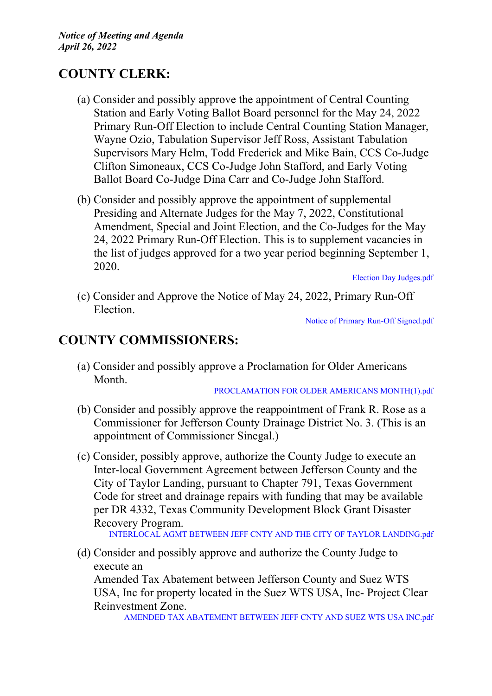## **COUNTY CLERK:**

- (a) Consider and possibly approve the appointment of Central Counting Station and Early Voting Ballot Board personnel for the May 24, 2022 Primary Run-Off Election to include Central Counting Station Manager, Wayne Ozio, Tabulation Supervisor Jeff Ross, Assistant Tabulation Supervisors Mary Helm, Todd Frederick and Mike Bain, CCS Co-Judge Clifton Simoneaux, CCS Co-Judge John Stafford, and Early Voting Ballot Board Co-Judge Dina Carr and Co-Judge John Stafford.
- (b) Consider and possibly approve the appointment of supplemental Presiding and Alternate Judges for the May 7, 2022, Constitutional Amendment, Special and Joint Election, and the Co-Judges for the May 24, 2022 Primary Run-Off Election. This is to supplement vacancies in the list of judges approved for a two year period beginning September 1, 2020.

Election Day [Judges.pdf](http://co.jefferson.tx.us/agenda/agendas_pl/20220426_689/Attachments/Election%20Day%20Judges.pdf)

(c) Consider and Approve the Notice of May 24, 2022, Primary Run-Off Election.

Notice of Primary Run-Off [Signed.pdf](http://co.jefferson.tx.us/agenda/agendas_pl/20220426_689/Attachments/Notice%20of%20Primary%20Run-Off%20Signed.pdf)

## **COUNTY COMMISSIONERS:**

(a) Consider and possibly approve a Proclamation for Older Americans Month.

[PROCLAMATION](http://co.jefferson.tx.us/agenda/agendas_pl/20220426_689/Attachments/PROCLAMATION%20FOR%20OLDER%20AMERICANS%20MONTH%281%29.pdf) FOR OLDER AMERICANS MONTH(1).pdf

- (b) Consider and possibly approve the reappointment of Frank R. Rose as a Commissioner for Jefferson County Drainage District No. 3. (This is an appointment of Commissioner Sinegal.)
- (c) Consider, possibly approve, authorize the County Judge to execute an Inter-local Government Agreement between Jefferson County and the City of Taylor Landing, pursuant to Chapter 791, Texas Government Code for street and drainage repairs with funding that may be available per DR 4332, Texas Community Development Block Grant Disaster Recovery Program.

[INTERLOCAL](http://co.jefferson.tx.us/agenda/agendas_pl/20220426_689/Attachments/INTERLOCAL%20AGMT%20BETWEEN%20JEFF%20CNTY%20AND%20THE%20CITY%20OF%20TAYLOR%20LANDING.pdf) AGMT BETWEEN JEFF CNTY AND THE CITY OF TAYLOR LANDING.pdf

(d) Consider and possibly approve and authorize the County Judge to execute an Amended Tax Abatement between Jefferson County and Suez WTS USA, Inc for property located in the Suez WTS USA, Inc- Project Clear Reinvestment Zone.

AMENDED TAX [ABATEMENT](http://co.jefferson.tx.us/agenda/agendas_pl/20220426_689/Attachments/AMENDED%20TAX%20ABATEMENT%20BETWEEN%20JEFF%20CNTY%20AND%20SUEZ%20WTS%20USA%20INC.pdf) BETWEEN JEFF CNTY AND SUEZ WTS USA INC.pdf